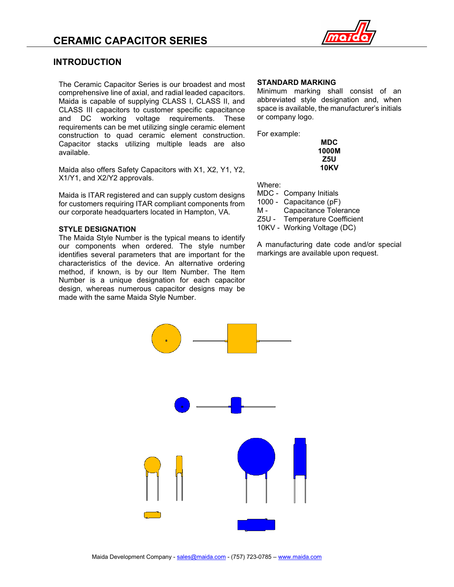

### **INTRODUCTION**

The Ceramic Capacitor Series is our broadest and most comprehensive line of axial, and radial leaded capacitors. Maida is capable of supplying CLASS I, CLASS II, and CLASS III capacitors to customer specific capacitance and DC working voltage requirements. These requirements can be met utilizing single ceramic element construction to quad ceramic element construction. Capacitor stacks utilizing multiple leads are also available.

Maida also offers Safety Capacitors with X1, X2, Y1, Y2, X1/Y1, and X2/Y2 approvals.

Maida is ITAR registered and can supply custom designs for customers requiring ITAR compliant components from our corporate headquarters located in Hampton, VA.

#### **STYLE DESIGNATION**

The Maida Style Number is the typical means to identify our components when ordered. The style number identifies several parameters that are important for the characteristics of the device. An alternative ordering method, if known, is by our Item Number. The Item Number is a unique designation for each capacitor design, whereas numerous capacitor designs may be made with the same Maida Style Number.

#### **STANDARD MARKING**

Minimum marking shall consist of an abbreviated style designation and, when space is available, the manufacturer's initials or company logo.

For example:

| MDC   |
|-------|
| 1000M |
| Z5U   |
| 10KV  |

Where:

- MDC Company Initials
- 1000 Capacitance (pF)
- M Capacitance Tolerance
- Z5U Temperature Coefficient
- 10KV Working Voltage (DC)

A manufacturing date code and/or special markings are available upon request.

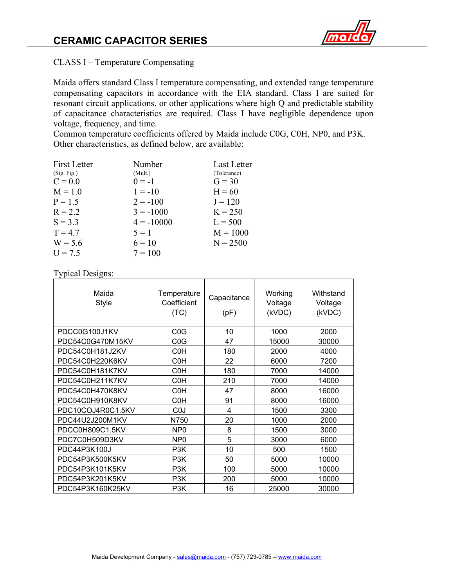

CLASS I – Temperature Compensating

Maida offers standard Class I temperature compensating, and extended range temperature compensating capacitors in accordance with the EIA standard. Class I are suited for resonant circuit applications, or other applications where high Q and predictable stability of capacitance characteristics are required. Class I have negligible dependence upon voltage, frequency, and time.

Common temperature coefficients offered by Maida include C0G, C0H, NP0, and P3K. Other characteristics, as defined below, are available:

| <b>First Letter</b> | Number       | Last Letter |
|---------------------|--------------|-------------|
| (Sig. Fig.)         | (Mult.)      | (Tolerance) |
| $C = 0.0$           | $0 = -1$     | $G = 30$    |
| $M = 1.0$           | $1 = -10$    | $H = 60$    |
| $P = 1.5$           | $2 = -100$   | $J = 120$   |
| $R = 2.2$           | $3 = -1000$  | $K = 250$   |
| $S = 3.3$           | $4 = -10000$ | $L = 500$   |
| $T = 4.7$           | $5 = 1$      | $M = 1000$  |
| $W = 5.6$           | $6 = 10$     | $N = 2500$  |
| $U = 7.5$           | $7 = 100$    |             |

Typical Designs:

| Maida<br><b>Style</b> | Temperature<br>Coefficient<br>(TC) | Capacitance<br>(pF) | Working<br>Voltage<br>(kVDC) | Withstand<br>Voltage<br>(kVDC) |
|-----------------------|------------------------------------|---------------------|------------------------------|--------------------------------|
| PDCC0G100J1KV         | C <sub>0</sub> G                   | 10                  | 1000                         | 2000                           |
| PDC54C0G470M15KV      | C <sub>0</sub> G                   | 47                  | 15000                        | 30000                          |
| PDC54C0H181J2KV       | C <sub>0</sub> H                   | 180                 | 2000                         | 4000                           |
| PDC54C0H220K6KV       | C <sub>0</sub> H                   | 22                  | 6000                         | 7200                           |
| PDC54C0H181K7KV       | C <sub>0</sub> H                   | 180                 | 7000                         | 14000                          |
| PDC54C0H211K7KV       | C <sub>0</sub> H                   | 210                 | 7000                         | 14000                          |
| PDC54C0H470K8KV       | C <sub>0</sub> H                   | 47                  | 8000                         | 16000                          |
| PDC54C0H910K8KV       | C <sub>0</sub> H                   | 91                  | 8000                         | 16000                          |
| PDC10COJ4R0C1.5KV     | C <sub>0</sub>                     | 4                   | 1500                         | 3300                           |
| PDC44U2J200M1KV       | N750                               | 20                  | 1000                         | 2000                           |
| PDCC0H809C1.5KV       | NP <sub>0</sub>                    | 8                   | 1500                         | 3000                           |
| PDC7C0H509D3KV        | NP <sub>0</sub>                    | 5                   | 3000                         | 6000                           |
| PDC44P3K100J          | P <sub>3</sub> K                   | 10                  | 500                          | 1500                           |
| PDC54P3K500K5KV       | P <sub>3</sub> K                   | 50                  | 5000                         | 10000                          |
| PDC54P3K101K5KV       | P <sub>3</sub> K                   | 100                 | 5000                         | 10000                          |
| PDC54P3K201K5KV       | P <sub>3</sub> K                   | 200                 | 5000                         | 10000                          |
| PDC54P3K160K25KV      | P <sub>3</sub> K                   | 16                  | 25000                        | 30000                          |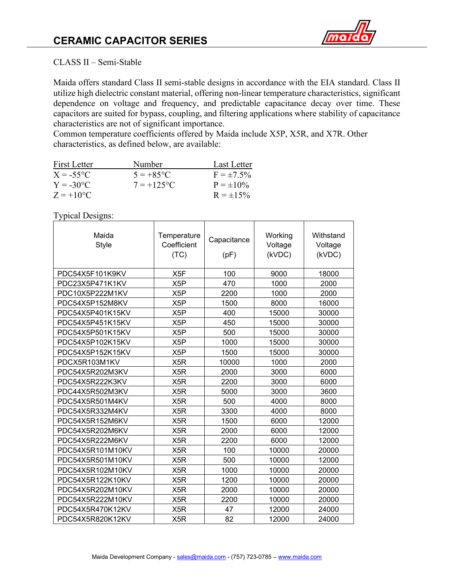

### CLASS II – Semi-Stable

Maida offers standard Class II semi-stable designs in accordance with the EIA standard. Class II utilize high dielectric constant material, offering non-linear temperature characteristics, significant dependence on voltage and frequency, and predictable capacitance decay over time. These capacitors are suited for bypass, coupling, and filtering applications where stability of capacitance characteristics are not of significant importance.

Common temperature coefficients offered by Maida include X5P, X5R, and X7R. Other characteristics, as defined below, are available:

| First Letter             | Number             | Last Letter     |
|--------------------------|--------------------|-----------------|
| $X = -55^{\circ}C$       | $5 = +85^{\circ}C$ | $F = \pm 7.5\%$ |
| $Y = -30^{\circ}C$       | $7 = +125$ °C      | $P = \pm 10\%$  |
| $Z = +10$ <sup>o</sup> C |                    | $R = \pm 15\%$  |

Typical Designs:

| Maida<br><b>Style</b> | Temperature<br>Coefficient<br>(TC) | Capacitance<br>(pF) | Working<br>Voltage<br>(kVDC) | Withstand<br>Voltage<br>(kVDC) |
|-----------------------|------------------------------------|---------------------|------------------------------|--------------------------------|
| PDC54X5F101K9KV       | X <sub>5F</sub>                    | 100                 | 9000                         | 18000                          |
| PDC23X5P471K1KV       | X <sub>5</sub> P                   | 470                 | 1000                         | 2000                           |
| PDC10X5P222M1KV       | X5P                                | 2200                | 1000                         | 2000                           |
| PDC54X5P152M8KV       | X <sub>5</sub> P                   | 1500                | 8000                         | 16000                          |
| PDC54X5P401K15KV      | X <sub>5</sub> P                   | 400                 | 15000                        | 30000                          |
| PDC54X5P451K15KV      | X <sub>5</sub> P                   | 450                 | 15000                        | 30000                          |
| PDC54X5P501K15KV      | X <sub>5</sub> P                   | 500                 | 15000                        | 30000                          |
| PDC54X5P102K15KV      | X5P                                | 1000                | 15000                        | 30000                          |
| PDC54X5P152K15KV      | X <sub>5</sub> P                   | 1500                | 15000                        | 30000                          |
| PDCX5R103M1KV         | X <sub>5</sub> R                   | 10000               | 1000                         | 2000                           |
| PDC54X5R202M3KV       | X <sub>5</sub> R                   | 2000                | 3000                         | 6000                           |
| PDC54X5R222K3KV       | X <sub>5</sub> R                   | 2200                | 3000                         | 6000                           |
| PDC44X5R502M3KV       | X5R                                | 5000                | 3000                         | 3600                           |
| PDC54X5R501M4KV       | X5R                                | 500                 | 4000                         | 8000                           |
| PDC54X5R332M4KV       | X5R                                | 3300                | 4000                         | 8000                           |
| PDC54X5R152M6KV       | X <sub>5</sub> R                   | 1500                | 6000                         | 12000                          |
| PDC54X5R202M6KV       | X <sub>5</sub> R                   | 2000                | 6000                         | 12000                          |
| PDC54X5R222M6KV       | X <sub>5</sub> R                   | 2200                | 6000                         | 12000                          |
| PDC54X5R101M10KV      | X <sub>5</sub> R                   | 100                 | 10000                        | 20000                          |
| PDC54X5R501M10KV      | X <sub>5</sub> R                   | 500                 | 10000                        | 12000                          |
| PDC54X5R102M10KV      | X5R                                | 1000                | 10000                        | 20000                          |
| PDC54X5R122K10KV      | X <sub>5</sub> R                   | 1200                | 10000                        | 20000                          |
| PDC54X5R202M10KV      | X <sub>5</sub> R                   | 2000                | 10000                        | 20000                          |
| PDC54X5R222M10KV      | X <sub>5</sub> R                   | 2200                | 10000                        | 20000                          |
| PDC54X5R470K12KV      | X5R                                | 47                  | 12000                        | 24000                          |
| PDC54X5R820K12KV      | X5R                                | 82                  | 12000                        | 24000                          |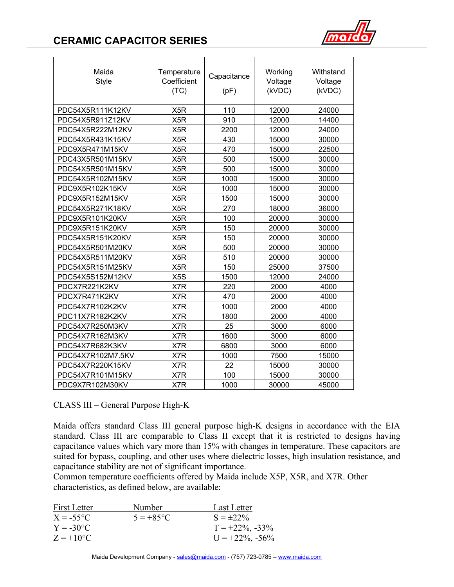# **CERAMIC CAPACITOR SERIES**



| Maida<br><b>Style</b> | Temperature<br>Coefficient<br>(TC) | Capacitance<br>(pF) | Working<br>Voltage<br>(kVDC) | Withstand<br>Voltage<br>(kVDC) |
|-----------------------|------------------------------------|---------------------|------------------------------|--------------------------------|
| PDC54X5R111K12KV      | X <sub>5</sub> R                   | 110                 | 12000                        | 24000                          |
| PDC54X5R911Z12KV      | X <sub>5</sub> R                   | 910                 | 12000                        | 14400                          |
| PDC54X5R222M12KV      | X <sub>5</sub> R                   | 2200                | 12000                        | 24000                          |
| PDC54X5R431K15KV      | X <sub>5</sub> R                   | 430                 | 15000                        | 30000                          |
| PDC9X5R471M15KV       | X <sub>5</sub> R                   | 470                 | 15000                        | 22500                          |
| PDC43X5R501M15KV      | X <sub>5</sub> R                   | 500                 | 15000                        | 30000                          |
| PDC54X5R501M15KV      | X <sub>5</sub> R                   | 500                 | 15000                        | 30000                          |
| PDC54X5R102M15KV      | X <sub>5</sub> R                   | 1000                | 15000                        | 30000                          |
| PDC9X5R102K15KV       | X <sub>5</sub> R                   | 1000                | 15000                        | 30000                          |
| PDC9X5R152M15KV       | X <sub>5</sub> R                   | 1500                | 15000                        | 30000                          |
| PDC54X5R271K18KV      | X <sub>5</sub> R                   | 270                 | 18000                        | 36000                          |
| PDC9X5R101K20KV       | X <sub>5</sub> R                   | 100                 | 20000                        | 30000                          |
| PDC9X5R151K20KV       | X <sub>5</sub> R                   | 150                 | 20000                        | 30000                          |
| PDC54X5R151K20KV      | X <sub>5</sub> R                   | 150                 | 20000                        | 30000                          |
| PDC54X5R501M20KV      | X <sub>5</sub> R                   | 500                 | 20000                        | 30000                          |
| PDC54X5R511M20KV      | X <sub>5</sub> R                   | 510                 | 20000                        | 30000                          |
| PDC54X5R151M25KV      | X <sub>5</sub> R                   | 150                 | 25000                        | 37500                          |
| PDC54X5S152M12KV      | X <sub>5</sub> S                   | 1500                | 12000                        | 24000                          |
| PDCX7R221K2KV         | X7R                                | 220                 | 2000                         | 4000                           |
| PDCX7R471K2KV         | X7R                                | 470                 | 2000                         | 4000                           |
| PDC54X7R102K2KV       | X7R                                | 1000                | 2000                         | 4000                           |
| PDC11X7R182K2KV       | X7R                                | 1800                | 2000                         | 4000                           |
| PDC54X7R250M3KV       | X7R                                | 25                  | 3000                         | 6000                           |
| PDC54X7R162M3KV       | X7R                                | 1600                | 3000                         | 6000                           |
| PDC54X7R682K3KV       | X7R                                | 6800                | 3000                         | 6000                           |
| PDC54X7R102M7.5KV     | X7R                                | 1000                | 7500                         | 15000                          |
| PDC54X7R220K15KV      | X7R                                | 22                  | 15000                        | 30000                          |
| PDC54X7R101M15KV      | X7R                                | 100                 | 15000                        | 30000                          |
| PDC9X7R102M30KV       | X7R                                | 1000                | 30000                        | 45000                          |

CLASS III – General Purpose High-K

Maida offers standard Class III general purpose high-K designs in accordance with the EIA standard. Class III are comparable to Class II except that it is restricted to designs having capacitance values which vary more than 15% with changes in temperature. These capacitors are suited for bypass, coupling, and other uses where dielectric losses, high insulation resistance, and capacitance stability are not of significant importance.

Common temperature coefficients offered by Maida include X5P, X5R, and X7R. Other characteristics, as defined below, are available:

| First Letter       | Number       | Last Letter        |
|--------------------|--------------|--------------------|
| $X = -55^{\circ}C$ | $5 = +85$ °C | $S = \pm 22\%$     |
| $Y = -30$ °C       |              | $T = +22\%, -33\%$ |
| $Z = +10^{\circ}C$ |              | $U = +22\%, -56\%$ |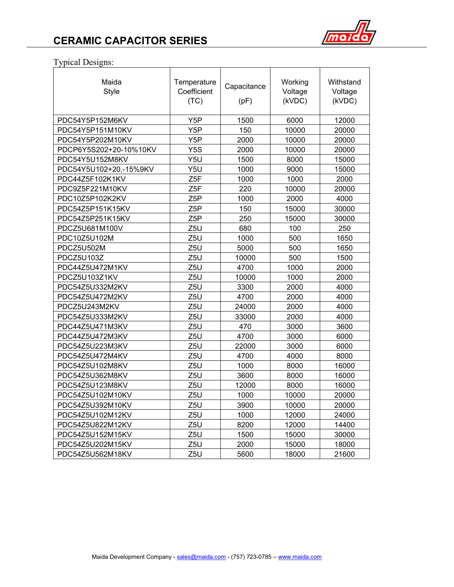

## Typical Designs:

| Maida<br><b>Style</b>  | Temperature<br>Working<br>Capacitance<br>Coefficient<br>Voltage<br>(kVDC)<br>(TC)<br>(pF) |       |       |       |  |  |  |  |  |  |  |  |  | Withstand<br>Voltage<br>(kVDC) |
|------------------------|-------------------------------------------------------------------------------------------|-------|-------|-------|--|--|--|--|--|--|--|--|--|--------------------------------|
| PDC54Y5P152M6KV        | Y <sub>5</sub> P                                                                          | 1500  | 6000  | 12000 |  |  |  |  |  |  |  |  |  |                                |
| PDC54Y5P151M10KV       | Y <sub>5</sub> P                                                                          | 150   | 10000 | 20000 |  |  |  |  |  |  |  |  |  |                                |
| PDC54Y5P202M10KV       | Y5P                                                                                       | 2000  | 10000 | 20000 |  |  |  |  |  |  |  |  |  |                                |
| PDCP6Y5S202+20-10%10KV | Y <sub>5</sub> S                                                                          | 2000  | 10000 | 20000 |  |  |  |  |  |  |  |  |  |                                |
| PDC54Y5U152M8KV        | Y5U                                                                                       | 1500  | 8000  | 15000 |  |  |  |  |  |  |  |  |  |                                |
| PDC54Y5U102+20,-15%9KV | Y5U                                                                                       | 1000  | 9000  | 15000 |  |  |  |  |  |  |  |  |  |                                |
| PDC44Z5F102K1KV        | Z5F                                                                                       | 1000  | 1000  | 2000  |  |  |  |  |  |  |  |  |  |                                |
| PDC9Z5F221M10KV        | Z <sub>5F</sub>                                                                           | 220   | 10000 | 20000 |  |  |  |  |  |  |  |  |  |                                |
| PDC10Z5P102K2KV        | Z <sub>5</sub> P                                                                          | 1000  | 2000  | 4000  |  |  |  |  |  |  |  |  |  |                                |
| PDC54Z5P151K15KV       | Z5P                                                                                       | 150   | 15000 | 30000 |  |  |  |  |  |  |  |  |  |                                |
| PDC54Z5P251K15KV       | Z <sub>5</sub> P                                                                          | 250   | 15000 | 30000 |  |  |  |  |  |  |  |  |  |                                |
| PDCZ5U681M100V         | Z5U                                                                                       | 680   | 100   | 250   |  |  |  |  |  |  |  |  |  |                                |
| PDC10Z5U102M           | Z5U                                                                                       | 1000  | 500   | 1650  |  |  |  |  |  |  |  |  |  |                                |
| PDCZ5U502M             | Z <sub>5U</sub>                                                                           | 5000  | 500   | 1650  |  |  |  |  |  |  |  |  |  |                                |
| PDCZ5U103Z             | Z <sub>5</sub> U                                                                          | 10000 | 500   | 1500  |  |  |  |  |  |  |  |  |  |                                |
| PDC44Z5U472M1KV        | Z <sub>5U</sub>                                                                           | 4700  | 1000  | 2000  |  |  |  |  |  |  |  |  |  |                                |
| PDCZ5U103Z1KV          | Z <sub>5U</sub>                                                                           | 10000 | 1000  | 2000  |  |  |  |  |  |  |  |  |  |                                |
| PDC54Z5U332M2KV        | Z <sub>5U</sub>                                                                           | 3300  | 2000  | 4000  |  |  |  |  |  |  |  |  |  |                                |
| PDC54Z5U472M2KV        | Z <sub>5U</sub>                                                                           | 4700  | 2000  | 4000  |  |  |  |  |  |  |  |  |  |                                |
| PDCZ5U243M2KV          | Z <sub>5</sub> U                                                                          | 24000 | 2000  | 4000  |  |  |  |  |  |  |  |  |  |                                |
| PDC54Z5U333M2KV        | Z <sub>5U</sub>                                                                           | 33000 | 2000  | 4000  |  |  |  |  |  |  |  |  |  |                                |
| PDC44Z5U471M3KV        | Z <sub>5U</sub>                                                                           | 470   | 3000  | 3600  |  |  |  |  |  |  |  |  |  |                                |
| PDC44Z5U472M3KV        | Z <sub>5U</sub>                                                                           | 4700  | 3000  | 6000  |  |  |  |  |  |  |  |  |  |                                |
| PDC54Z5U223M3KV        | Z <sub>5U</sub>                                                                           | 22000 | 3000  | 6000  |  |  |  |  |  |  |  |  |  |                                |
| PDC54Z5U472M4KV        | Z <sub>5U</sub>                                                                           | 4700  | 4000  | 8000  |  |  |  |  |  |  |  |  |  |                                |
| PDC54Z5U102M8KV        | Z <sub>5U</sub>                                                                           | 1000  | 8000  | 16000 |  |  |  |  |  |  |  |  |  |                                |
| PDC54Z5U362M8KV        | Z5U                                                                                       | 3600  | 8000  | 16000 |  |  |  |  |  |  |  |  |  |                                |
| PDC54Z5U123M8KV        | Z <sub>5U</sub>                                                                           | 12000 | 8000  | 16000 |  |  |  |  |  |  |  |  |  |                                |
| PDC54Z5U102M10KV       | Z5U                                                                                       | 1000  | 10000 | 20000 |  |  |  |  |  |  |  |  |  |                                |
| PDC54Z5U392M10KV       | Z5U                                                                                       | 3900  | 10000 | 20000 |  |  |  |  |  |  |  |  |  |                                |
| PDC54Z5U102M12KV       | Z <sub>5U</sub>                                                                           | 1000  | 12000 | 24000 |  |  |  |  |  |  |  |  |  |                                |
| PDC54Z5U822M12KV       | Z <sub>5U</sub>                                                                           | 8200  | 12000 | 14400 |  |  |  |  |  |  |  |  |  |                                |
| PDC54Z5U152M15KV       | Z <sub>5U</sub>                                                                           | 1500  | 15000 | 30000 |  |  |  |  |  |  |  |  |  |                                |
| PDC54Z5U202M15KV       | Z5U                                                                                       | 2000  | 15000 | 18000 |  |  |  |  |  |  |  |  |  |                                |
| PDC54Z5U562M18KV       | Z <sub>5U</sub>                                                                           | 5600  | 18000 | 21600 |  |  |  |  |  |  |  |  |  |                                |